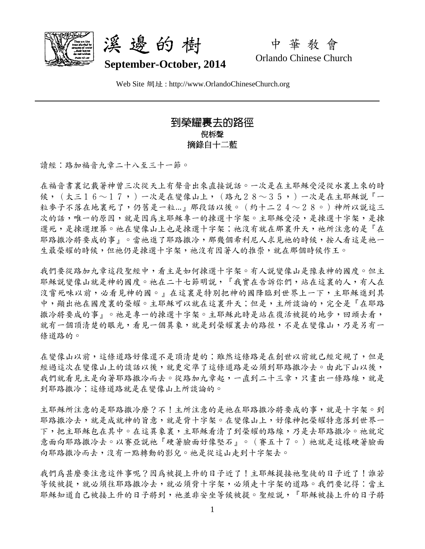



中 華 教 會 Orlando Chinese Church

Web Site 網址 : http://www.OrlandoChineseChurch.org

## 到榮耀裏去的路徑 倪柝聲 摘錄自十二藍

讀經:路加福音九章二十八至三十一節。

在福音書裏記載著神曾三次從天上有聲音出來直接說話。一次是在主耶穌受浸從水裏上來的時 候,(太三16~17,)一次是在變像山上,(路九28~35,)一次是在主耶穌説『一 粒麥子不落在地裏死了,仍舊是一粒...』那段話以後。(約十二24~28。)神所以說這三 次的話,唯一的原因,就是因為主耶穌專一的揀選十字架。主耶穌受浸,是揀選十字架,是揀 選死,是揀選埋葬。祂在變像山上也是揀選十字架;祂沒有就在那裏升天,祂所注意的是『在 耶路撒冷將要成的事」。當祂進了耶路撒冷,那幾個希利尼人求見祂的時候,按人看這是祂一 生最榮耀的時候,但祂仍是揀選十字架,祂沒有因著人的推崇,就在那個時候作王。

我們要從路加九章這段聖經中,看主是如何揀選十字架。有人說變像山是豫表神的國度。但主 耶穌說變像山就是神的國度。祂在二十七節明說,『我實在告訴你們,站在這裏的人,有人在 沒嘗死味以前,必看見神的國。』在這裏是特別把神的國降臨到世界上一下,主耶穌進到其 中,顯出祂在國度裏的榮耀。主耶穌可以就在這裏升天;但是,主所談論的,完全是『在耶路 撒冷將要成的事』。祂是專一的揀選十字架。主耶穌此時是站在復活被提的地步,回頭去看, 就有一個頂清楚的眼光,看見一個異象,就是到榮耀裏去的路徑,不是在變像山,乃是另有一 條道路的。

在變像山以前,這條道路好像還不是頂清楚的;雖然這條路是在創世以前就已經定規了,但是 經過這次在變像山上的談話以後,就更定準了這條道路是必須到耶路撒冷去。由此下山以後, 我們就看見主是向著耶路撒冷而去。從路加九章起,一直到二十三章,只書出一條路線,就是 到耶路撒冷;這條道路就是在變像山上所談論的。

主耶穌所注意的是那次廢?不!主所注意的是祂在耶路撒冷將要成的事,就是十字架。到 耶路撒冷去,就是成就神的旨意,就是背十字架。在變像山上,好像神把榮耀特意落到世界一 下,把主耶穌包在其中。在這異象裏,主耶穌看清了到榮耀的路線,乃是去耶路撒冷。祂就定 意面向耶路撒冷去。以賽亞說祂『硬著臉面好像堅石』。(賽五十7。)祂就是這樣硬著臉面 向耶路撒冷而去,沒有一點轉動的影兒。祂是從這山走到十字架去。

我們為甚麼要注意這件事呢?因為被提上升的日子近了!主耶穌提接祂聖徒的日子近了!誰若 等候被提,就必須往耶路撒冷去,就必須背十字架,必須走十字架的道路。我們要記得:當主 耶穌知道自己被接上升的日子將到,祂並非安坐等候被提。聖經說,『耶穌被接上升的日子將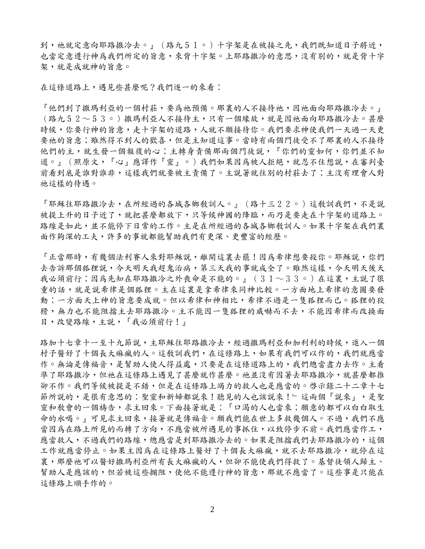到,祂就定意向耶路撒冷去。』(路九51。)十字架是在被接之先,我們既知道日子將近, 也當定意遵行神爲我們所定的旨意,來背十字架。上耶路撒冷的意思,沒有別的,就是背十字 架,就是成就神的旨意。

在這條道路上,遇見些甚麼呢?我們逐一的來看:

『他們到了撒瑪利亞的一個村莊,要為祂預備。那裏的人不接待祂,因祂面向耶路撒冷去。』 (路九52~53。)撒瑪利亞人不接待主,只有一個緣故,就是因祂面向耶路撒冷去。甚麼 時候,你要行神的旨意,走十字架的道路,人就不願接待你。我們要求神使我們一天過一天更 要祂的旨意;雖然得不到人的歡喜,但是主知道這事。當時有兩個門徒受不了那裏的人不接待 他們的主,就生發一個報復的心;主轉身責備那兩個門徒說,『你們的靈如何,你們並不知 道。」(照原文,『心』應譯作『靈』。)我們如果因為被人拒絕,就忍不住想說,在審判臺 前看到底是誰對誰非,這樣我們就要被主責備了。主說著就往別的村莊去了;主沒有理會人對 祂這樣的待遇。

『耶穌往耶路撒冷去,在所經過的各城各鄉教訓人。』(路十三22。)這教訓我們,不是說 被提上升的日子近了,就把甚麼都放下,只等候神國的降臨,而乃是要走在十字架的道路上。 路線是如此,並不能停下日常的工作。主是在所經過的各城各鄉教訓人。如果十字架在我們裏 面作夠深的工夫,許多的事就都能幫助我們有更深、更豐富的經歷。

『正當那時,有幾個法利賽人來對耶穌說,離開這裏去罷!因為希律想要殺你。耶穌說,你們 去告訴那個狐狸說,今天明天我趕鬼治病,第三天我的事就成全了。雖然這樣,今天明天後天 我必須前行;因為先知在耶路撒冷之外喪命是不能的。』(31~33。)在這裏,主説了很 重的話,就是說希律是個狐狸。主在這裏是拿希律來同神比較。一方面地上希律的意圖要發 動;一方面天上神的旨意要成就。但以希律和神相比,希律不過是一隻狐狸而已。狐狸的狡 猾,無力也不能阻堵不必激冷。主不能因一隻狐狸的威嚇而不去,不能因希律而改換面 目,改變路線,主說,『我必須前行!』

路加十七章十一至十九節說,主耶穌往耶路撒冷去,經過撒瑪利亞和加利利的時候,進入一個 村子醫好了十個長大痲瘋的人。這教訓我們,在這條路上,如果有我們可以作的,我們就應當 作。無論是傳福音,是幫助人使人得益處,只要是在這條道路上的,我們總當盡力去作。主看 準了耶路撒冷,但祂在這條路上遇見了甚麼就作甚麼。祂並沒有因著去耶路撒冷,就甚麼都推 卻不作。我們等候被提是不錯,但是在這條路上竭力的救人也是應當的。啓示錄二十二章十七 節所說的,是很有意思的:聖靈和新婦都說來!聽見的人也該說來!』這兩個『說來』,是聖 靈和教會的一個禱告,求主回來。下面接著就是:『口渴的人也當來;願意的都可以白白取生 命的水喝。』可見求主回來,接著就是傳福音。願我們能在世上多救幾個人。不過,我們不應 當因為在路上所見的而轉了方向,不應當被所遇見的事抓住,以致停步不前。我們應當作工, 應當救人,不過我們的路線,總應當是到耶路撒冷去的。如果是阻擋我們去耶路撒冷的,這個 工作就應當停止。如果主因為在這條路上醫好了十個長大痲瘋,就不去耶路撒冷,就停在這 裏,那麼祂可以醫好撒瑪利亞所有長大痲瘋的人,但卻不能使我們得救了。基督徒領人歸主、 幫助人是應該的,但若被這些攔阻,使他不能遵行神的旨意,那就不應當了。這些事是只能在 這條路上順手作的。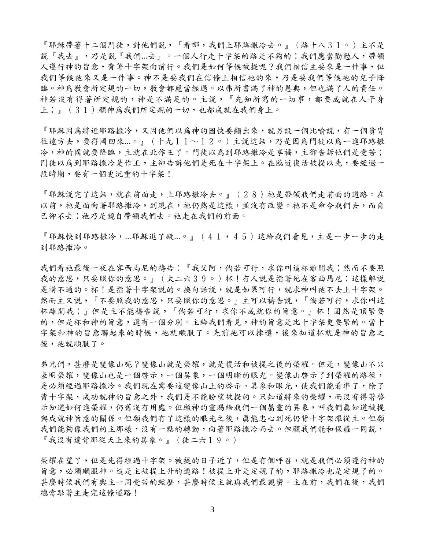『耶穌帶著十二個門徒,對他們說,『看哪,我們上耶路撒冷去。』(路十八31。)主不是 說『我去』,乃是說『我們...去』。一個人行走十字架的路是不夠的;我們應當勸勉人,帶領 人遵行神的旨意,背著十字架向前行。我們是如何等候被提呢?我們相信主要來是一件事,但 我們等候祂來又是一件事。神不是要我們在信條上相信祂的來,乃是要我們等候祂的兒子降 臨。神爲敎會所定規的一切,敎會都應當經過。以弗所書滿了神的恩典,但也滿了人的責任。 神若沒有得著所定規的,神是不滿足的。主說,『先知所寫的一切事,都要成就在人子身 上;』(31)願神為我們所定規的一切,也都成就在我們身上。

『耶穌因為將近耶路撒冷,又因他們以為神的國快要顯出來,就另設一個比喻說,有一個貴冑 往遠方去,要得國回來...。』(十九11~12。)主説這話,乃是因為門徒以為一進耶路撒 冷,神的國就要降臨,主就在此作王了。門徒以為到耶路撒冷是享福,主卻告訴他們是受苦; 門徒以為到耶路撒冷是作王,主卻告訴他們是死在十字架上。在臨近復活被提以先,要經過一 段時期,要有一個更沉重的十字架!

『耶穌說完了這話,就在前面走,上耶路撒冷去。』(28)祂是帶領我們走前面的道路。在 以前,祂是面向著耶路撒冷,到現在,祂仍然是這樣,並沒有改變。祂不是命令我們去,而自 己卻不去;祂乃是親自帶領我們去。祂走在我們的前面。

『耶穌快到耶路撒冷,...耶穌進了殿...。』(41,45)這給我們看見,主是一步一步的走 到耶路撒冷。

我們看祂最後一夜在客西馬尼的禱告:『我父阿,倘若可行,求你叫這杯離開我;然而不要照 我的意思,只要照你的意思。』(太二六39。)杯!有人説是指著死在客西馬尼;這樣解説 是講不通的。杯!是指著十字架説的。換句話説,就是如果可行,就求神叫祂不去上十字架。 然而主又說,『不要照我的意思,只要照你的意思。』主可以禱告說,『倘若可行,求你叫這 杯離開我;』但是主不能禱告說,『倘若可行,求你不成就你的旨意。』杯!固然是頂緊要 的,但是杯和神的旨意,還有一個分別。主給我們看見,神的旨意是比十字架更要緊的。當十 字架和神的旨意聯起來的時候,祂就順服了。先前祂可以揀選,後來知道杯就是神的旨意之 後,祂就順服了。

弟兄們,甚麼是變像山呢?變像山就是榮耀,就是復活和被提之後的榮耀。但是,變像山不只 表明榮耀,變像山也是一個啓示,一個異象,一個明晰的眼光。變像山啓示了到榮耀的路徑, 是必須經過耶路撒冷。我們現在需要這變像山上的啓示、異象和眼光,使我們能看準了,除了 背十字架,成功就神的旨意之外,我們是不能盼望被提的。只知道將來的榮耀,而沒有得著啓 示知道如何進榮耀,仍舊沒有用處。但願神的靈賜給我們一個屬靈的異象,叫我們真知道被提 與成就神旨意的關係。但願我們有了這樣的眼光之後,真能忠心到死仍背十字架跟從主。但願 我們能夠像我們的主那樣,沒有一點的轉動,向著耶路撒冷而去。但願我們能和保羅一同說, 『我沒有違背那從天上來的異象。』(徒二六19。)

榮耀在望了,但是先得經過十字架。被提的日子近了,但是有個呼召,就是我們必須遵行神的 旨意,必須順服神。這是主被提上升的道路!被提上升是定規了的,耶路撒冷也是定規了的。 甚麼時候我們有與主一同受苦的經歷,甚麼時候主就與我們最親密。主在前,我們在後,我們 總當跟著主走完這條道路!

3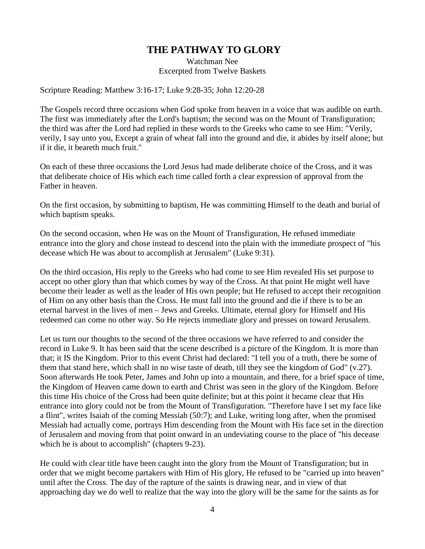## **THE PATHWAY TO GLORY**

Watchman Nee Excerpted from Twelve Baskets

Scripture Reading: Matthew 3:16-17; Luke 9:28-35; John 12:20-28

The Gospels record three occasions when God spoke from heaven in a voice that was audible on earth. The first was immediately after the Lord's baptism; the second was on the Mount of Transfiguration; the third was after the Lord had replied in these words to the Greeks who came to see Him: "Verily, verily, I say unto you, Except a grain of wheat fall into the ground and die, it abides by itself alone; but if it die, it beareth much fruit."

On each of these three occasions the Lord Jesus had made deliberate choice of the Cross, and it was that deliberate choice of His which each time called forth a clear expression of approval from the Father in heaven.

On the first occasion, by submitting to baptism, He was committing Himself to the death and burial of which baptism speaks.

On the second occasion, when He was on the Mount of Transfiguration, He refused immediate entrance into the glory and chose instead to descend into the plain with the immediate prospect of "his decease which He was about to accomplish at Jerusalem" (Luke 9:31).

On the third occasion, His reply to the Greeks who had come to see Him revealed His set purpose to accept no other glory than that which comes by way of the Cross. At that point He might well have become their leader as well as the leader of His own people; but He refused to accept their recognition of Him on any other basis than the Cross. He must fall into the ground and die if there is to be an eternal harvest in the lives of men – Jews and Greeks. Ultimate, eternal glory for Himself and His redeemed can come no other way. So He rejects immediate glory and presses on toward Jerusalem.

Let us turn our thoughts to the second of the three occasions we have referred to and consider the record in Luke 9. It has been said that the scene described is a picture of the Kingdom. It is more than that; it IS the Kingdom. Prior to this event Christ had declared: "I tell you of a truth, there be some of them that stand here, which shall in no wise taste of death, till they see the kingdom of God" (v.27). Soon afterwards He took Peter, James and John up into a mountain, and there, for a brief space of time, the Kingdom of Heaven came down to earth and Christ was seen in the glory of the Kingdom. Before this time His choice of the Cross had been quite definite; but at this point it became clear that His entrance into glory could not be from the Mount of Transfiguration. "Therefore have I set my face like a flint", writes Isaiah of the coming Messiah (50:7); and Luke, writing long after, when the promised Messiah had actually come, portrays Him descending from the Mount with His face set in the direction of Jerusalem and moving from that point onward in an undeviating course to the place of "his decease which he is about to accomplish" (chapters 9-23).

He could with clear title have been caught into the glory from the Mount of Transfiguration; but in order that we might become partakers with Him of His glory, He refused to be "carried up into heaven" until after the Cross. The day of the rapture of the saints is drawing near, and in view of that approaching day we do well to realize that the way into the glory will be the same for the saints as for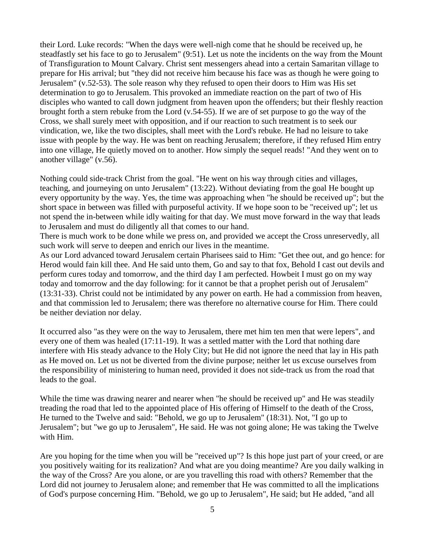their Lord. Luke records: "When the days were well-nigh come that he should be received up, he steadfastly set his face to go to Jerusalem" (9:51). Let us note the incidents on the way from the Mount of Transfiguration to Mount Calvary. Christ sent messengers ahead into a certain Samaritan village to prepare for His arrival; but "they did not receive him because his face was as though he were going to Jerusalem" (v.52-53). The sole reason why they refused to open their doors to Him was His set determination to go to Jerusalem. This provoked an immediate reaction on the part of two of His disciples who wanted to call down judgment from heaven upon the offenders; but their fleshly reaction brought forth a stern rebuke from the Lord (v.54-55). If we are of set purpose to go the way of the Cross, we shall surely meet with opposition, and if our reaction to such treatment is to seek our vindication, we, like the two disciples, shall meet with the Lord's rebuke. He had no leisure to take issue with people by the way. He was bent on reaching Jerusalem; therefore, if they refused Him entry into one village, He quietly moved on to another. How simply the sequel reads! "And they went on to another village" (v.56).

Nothing could side-track Christ from the goal. "He went on his way through cities and villages, teaching, and journeying on unto Jerusalem" (13:22). Without deviating from the goal He bought up every opportunity by the way. Yes, the time was approaching when "he should be received up"; but the short space in between was filled with purposeful activity. If we hope soon to be "received up"; let us not spend the in-between while idly waiting for that day. We must move forward in the way that leads to Jerusalem and must do diligently all that comes to our hand.

There is much work to be done while we press on, and provided we accept the Cross unreservedly, all such work will serve to deepen and enrich our lives in the meantime.

As our Lord advanced toward Jerusalem certain Pharisees said to Him: "Get thee out, and go hence: for Herod would fain kill thee. And He said unto them, Go and say to that fox, Behold I cast out devils and perform cures today and tomorrow, and the third day I am perfected. Howbeit I must go on my way today and tomorrow and the day following: for it cannot be that a prophet perish out of Jerusalem" (13:31-33). Christ could not be intimidated by any power on earth. He had a commission from heaven, and that commission led to Jerusalem; there was therefore no alternative course for Him. There could be neither deviation nor delay.

It occurred also "as they were on the way to Jerusalem, there met him ten men that were lepers", and every one of them was healed (17:11-19). It was a settled matter with the Lord that nothing dare interfere with His steady advance to the Holy City; but He did not ignore the need that lay in His path as He moved on. Let us not be diverted from the divine purpose; neither let us excuse ourselves from the responsibility of ministering to human need, provided it does not side-track us from the road that leads to the goal.

While the time was drawing nearer and nearer when "he should be received up" and He was steadily treading the road that led to the appointed place of His offering of Himself to the death of the Cross, He turned to the Twelve and said: "Behold, we go up to Jerusalem" (18:31). Not, "I go up to Jerusalem"; but "we go up to Jerusalem", He said. He was not going alone; He was taking the Twelve with Him.

Are you hoping for the time when you will be "received up"? Is this hope just part of your creed, or are you positively waiting for its realization? And what are you doing meantime? Are you daily walking in the way of the Cross? Are you alone, or are you travelling this road with others? Remember that the Lord did not journey to Jerusalem alone; and remember that He was committed to all the implications of God's purpose concerning Him. "Behold, we go up to Jerusalem", He said; but He added, "and all